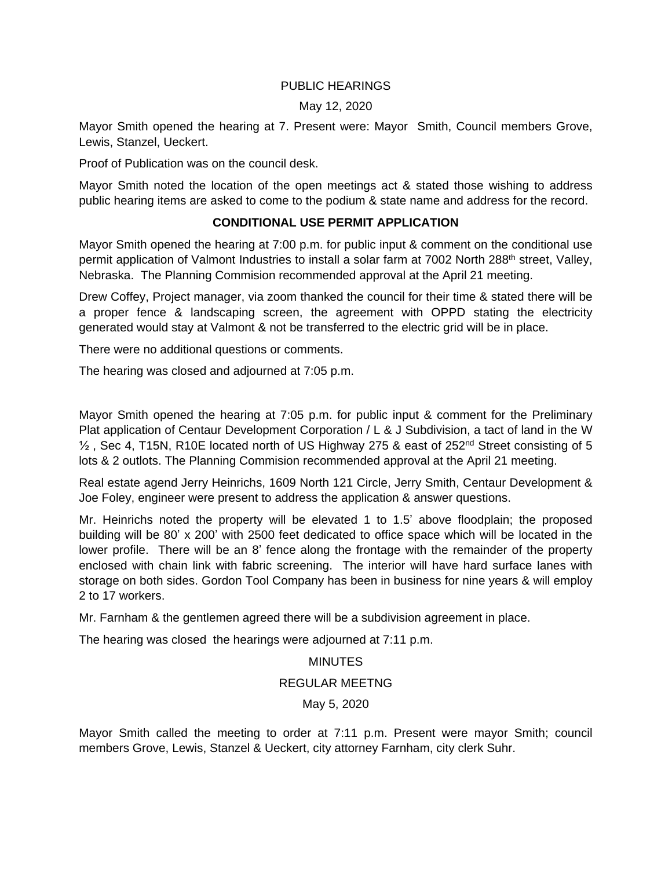## PUBLIC HEARINGS

### May 12, 2020

Mayor Smith opened the hearing at 7. Present were: Mayor Smith, Council members Grove, Lewis, Stanzel, Ueckert.

Proof of Publication was on the council desk.

Mayor Smith noted the location of the open meetings act & stated those wishing to address public hearing items are asked to come to the podium & state name and address for the record.

# **CONDITIONAL USE PERMIT APPLICATION**

Mayor Smith opened the hearing at 7:00 p.m. for public input & comment on the conditional use permit application of Valmont Industries to install a solar farm at 7002 North 288<sup>th</sup> street, Valley, Nebraska. The Planning Commision recommended approval at the April 21 meeting.

Drew Coffey, Project manager, via zoom thanked the council for their time & stated there will be a proper fence & landscaping screen, the agreement with OPPD stating the electricity generated would stay at Valmont & not be transferred to the electric grid will be in place.

There were no additional questions or comments.

The hearing was closed and adjourned at 7:05 p.m.

Mayor Smith opened the hearing at 7:05 p.m. for public input & comment for the Preliminary Plat application of Centaur Development Corporation / L & J Subdivision, a tact of land in the W <sup>1/2</sup>, Sec 4, T15N, R10E located north of US Highway 275 & east of 252<sup>nd</sup> Street consisting of 5 lots & 2 outlots. The Planning Commision recommended approval at the April 21 meeting.

Real estate agend Jerry Heinrichs, 1609 North 121 Circle, Jerry Smith, Centaur Development & Joe Foley, engineer were present to address the application & answer questions.

Mr. Heinrichs noted the property will be elevated 1 to 1.5' above floodplain; the proposed building will be 80' x 200' with 2500 feet dedicated to office space which will be located in the lower profile. There will be an 8' fence along the frontage with the remainder of the property enclosed with chain link with fabric screening. The interior will have hard surface lanes with storage on both sides. Gordon Tool Company has been in business for nine years & will employ 2 to 17 workers.

Mr. Farnham & the gentlemen agreed there will be a subdivision agreement in place.

The hearing was closed the hearings were adjourned at 7:11 p.m.

### MINUTES

### REGULAR MEETNG

May 5, 2020

Mayor Smith called the meeting to order at 7:11 p.m. Present were mayor Smith; council members Grove, Lewis, Stanzel & Ueckert, city attorney Farnham, city clerk Suhr.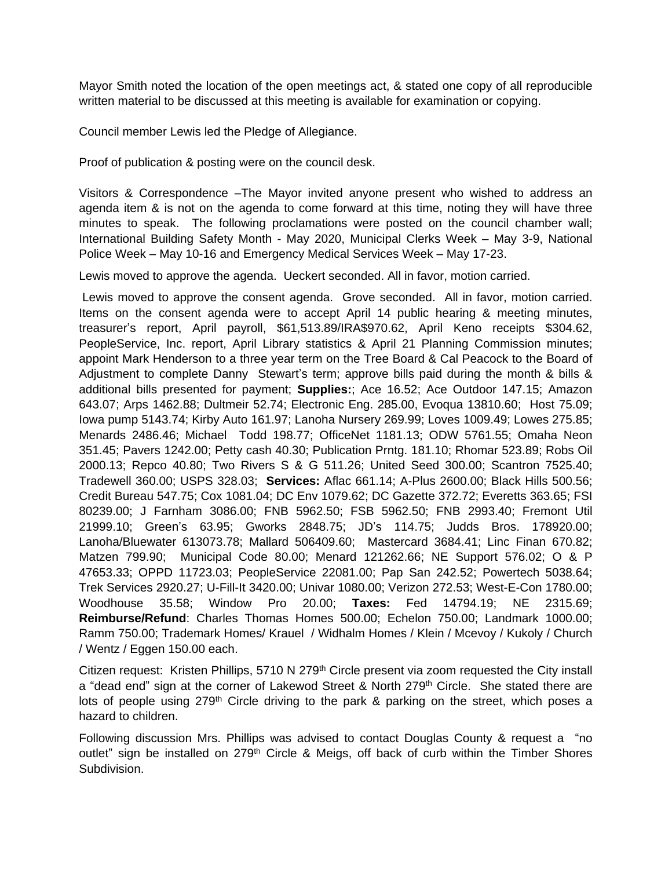Mayor Smith noted the location of the open meetings act, & stated one copy of all reproducible written material to be discussed at this meeting is available for examination or copying.

Council member Lewis led the Pledge of Allegiance.

Proof of publication & posting were on the council desk.

Visitors & Correspondence –The Mayor invited anyone present who wished to address an agenda item & is not on the agenda to come forward at this time, noting they will have three minutes to speak. The following proclamations were posted on the council chamber wall; International Building Safety Month - May 2020, Municipal Clerks Week – May 3-9, National Police Week – May 10-16 and Emergency Medical Services Week – May 17-23.

Lewis moved to approve the agenda. Ueckert seconded. All in favor, motion carried.

Lewis moved to approve the consent agenda. Grove seconded. All in favor, motion carried. Items on the consent agenda were to accept April 14 public hearing & meeting minutes, treasurer's report, April payroll, \$61,513.89/IRA\$970.62, April Keno receipts \$304.62, PeopleService, Inc. report, April Library statistics & April 21 Planning Commission minutes; appoint Mark Henderson to a three year term on the Tree Board & Cal Peacock to the Board of Adjustment to complete Danny Stewart's term; approve bills paid during the month & bills & additional bills presented for payment; **Supplies:**; Ace 16.52; Ace Outdoor 147.15; Amazon 643.07; Arps 1462.88; Dultmeir 52.74; Electronic Eng. 285.00, Evoqua 13810.60; Host 75.09; Iowa pump 5143.74; Kirby Auto 161.97; Lanoha Nursery 269.99; Loves 1009.49; Lowes 275.85; Menards 2486.46; Michael Todd 198.77; OfficeNet 1181.13; ODW 5761.55; Omaha Neon 351.45; Pavers 1242.00; Petty cash 40.30; Publication Prntg. 181.10; Rhomar 523.89; Robs Oil 2000.13; Repco 40.80; Two Rivers S & G 511.26; United Seed 300.00; Scantron 7525.40; Tradewell 360.00; USPS 328.03; **Services:** Aflac 661.14; A-Plus 2600.00; Black Hills 500.56; Credit Bureau 547.75; Cox 1081.04; DC Env 1079.62; DC Gazette 372.72; Everetts 363.65; FSI 80239.00; J Farnham 3086.00; FNB 5962.50; FSB 5962.50; FNB 2993.40; Fremont Util 21999.10; Green's 63.95; Gworks 2848.75; JD's 114.75; Judds Bros. 178920.00; Lanoha/Bluewater 613073.78; Mallard 506409.60; Mastercard 3684.41; Linc Finan 670.82; Matzen 799.90; Municipal Code 80.00; Menard 121262.66; NE Support 576.02; O & P 47653.33; OPPD 11723.03; PeopleService 22081.00; Pap San 242.52; Powertech 5038.64; Trek Services 2920.27; U-Fill-It 3420.00; Univar 1080.00; Verizon 272.53; West-E-Con 1780.00; Woodhouse 35.58; Window Pro 20.00; **Taxes:** Fed 14794.19; NE 2315.69; **Reimburse/Refund**: Charles Thomas Homes 500.00; Echelon 750.00; Landmark 1000.00; Ramm 750.00; Trademark Homes/ Krauel / Widhalm Homes / Klein / Mcevoy / Kukoly / Church / Wentz / Eggen 150.00 each.

Citizen request: Kristen Phillips,  $5710$  N  $279<sup>th</sup>$  Circle present via zoom requested the City install a "dead end" sign at the corner of Lakewod Street & North 279<sup>th</sup> Circle. She stated there are lots of people using  $279<sup>th</sup>$  Circle driving to the park & parking on the street, which poses a hazard to children.

Following discussion Mrs. Phillips was advised to contact Douglas County & request a "no outlet" sign be installed on 279<sup>th</sup> Circle & Meigs, off back of curb within the Timber Shores Subdivision.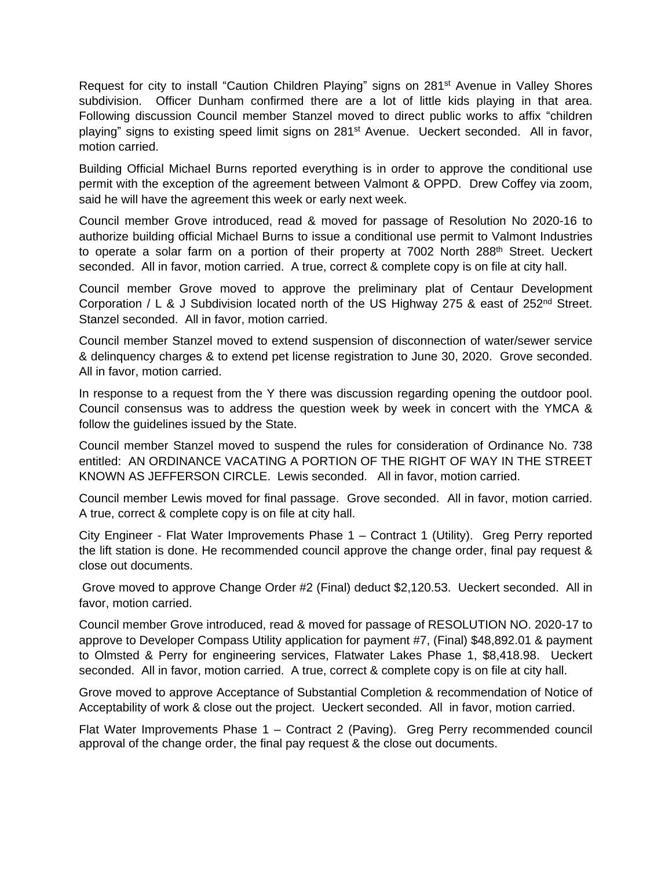Request for city to install "Caution Children Playing" signs on 281<sup>st</sup> Avenue in Valley Shores subdivision. Officer Dunham confirmed there are a lot of little kids playing in that area. Following discussion Council member Stanzel moved to direct public works to affix "children playing" signs to existing speed limit signs on 281<sup>st</sup> Avenue. Ueckert seconded. All in favor, motion carried.

Building Official Michael Burns reported everything is in order to approve the conditional use permit with the exception of the agreement between Valmont & OPPD. Drew Coffey via zoom, said he will have the agreement this week or early next week.

Council member Grove introduced, read & moved for passage of Resolution No 2020-16 to authorize building official Michael Burns to issue a conditional use permit to Valmont Industries to operate a solar farm on a portion of their property at 7002 North 288<sup>th</sup> Street. Ueckert seconded. All in favor, motion carried. A true, correct & complete copy is on file at city hall.

Council member Grove moved to approve the preliminary plat of Centaur Development Corporation / L & J Subdivision located north of the US Highway 275 & east of 252<sup>nd</sup> Street. Stanzel seconded. All in favor, motion carried.

Council member Stanzel moved to extend suspension of disconnection of water/sewer service & delinquency charges & to extend pet license registration to June 30, 2020. Grove seconded. All in favor, motion carried.

In response to a request from the Y there was discussion regarding opening the outdoor pool. Council consensus was to address the question week by week in concert with the YMCA & follow the guidelines issued by the State.

Council member Stanzel moved to suspend the rules for consideration of Ordinance No. 738 entitled: AN ORDINANCE VACATING A PORTION OF THE RIGHT OF WAY IN THE STREET KNOWN AS JEFFERSON CIRCLE. Lewis seconded. All in favor, motion carried.

Council member Lewis moved for final passage. Grove seconded. All in favor, motion carried. A true, correct & complete copy is on file at city hall.

City Engineer - Flat Water Improvements Phase 1 – Contract 1 (Utility). Greg Perry reported the lift station is done. He recommended council approve the change order, final pay request & close out documents.

Grove moved to approve Change Order #2 (Final) deduct \$2,120.53. Ueckert seconded. All in favor, motion carried.

Council member Grove introduced, read & moved for passage of RESOLUTION NO. 2020-17 to approve to Developer Compass Utility application for payment #7, (Final) \$48,892.01 & payment to Olmsted & Perry for engineering services, Flatwater Lakes Phase 1, \$8,418.98. Ueckert seconded. All in favor, motion carried. A true, correct & complete copy is on file at city hall.

Grove moved to approve Acceptance of Substantial Completion & recommendation of Notice of Acceptability of work & close out the project. Ueckert seconded. All in favor, motion carried.

Flat Water Improvements Phase 1 – Contract 2 (Paving). Greg Perry recommended council approval of the change order, the final pay request & the close out documents.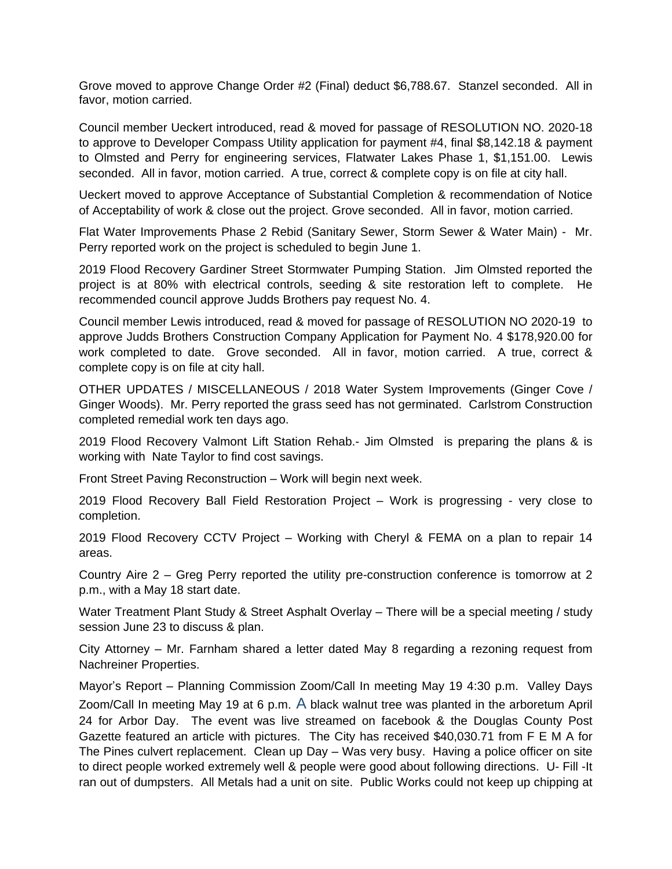Grove moved to approve Change Order #2 (Final) deduct \$6,788.67. Stanzel seconded. All in favor, motion carried.

Council member Ueckert introduced, read & moved for passage of RESOLUTION NO. 2020-18 to approve to Developer Compass Utility application for payment #4, final \$8,142.18 & payment to Olmsted and Perry for engineering services, Flatwater Lakes Phase 1, \$1,151.00. Lewis seconded. All in favor, motion carried. A true, correct & complete copy is on file at city hall.

Ueckert moved to approve Acceptance of Substantial Completion & recommendation of Notice of Acceptability of work & close out the project. Grove seconded. All in favor, motion carried.

Flat Water Improvements Phase 2 Rebid (Sanitary Sewer, Storm Sewer & Water Main) - Mr. Perry reported work on the project is scheduled to begin June 1.

2019 Flood Recovery Gardiner Street Stormwater Pumping Station. Jim Olmsted reported the project is at 80% with electrical controls, seeding & site restoration left to complete. He recommended council approve Judds Brothers pay request No. 4.

Council member Lewis introduced, read & moved for passage of RESOLUTION NO 2020-19 to approve Judds Brothers Construction Company Application for Payment No. 4 \$178,920.00 for work completed to date. Grove seconded. All in favor, motion carried. A true, correct & complete copy is on file at city hall.

OTHER UPDATES / MISCELLANEOUS / 2018 Water System Improvements (Ginger Cove / Ginger Woods). Mr. Perry reported the grass seed has not germinated. Carlstrom Construction completed remedial work ten days ago.

2019 Flood Recovery Valmont Lift Station Rehab.- Jim Olmsted is preparing the plans & is working with Nate Taylor to find cost savings.

Front Street Paving Reconstruction – Work will begin next week.

2019 Flood Recovery Ball Field Restoration Project – Work is progressing - very close to completion.

2019 Flood Recovery CCTV Project – Working with Cheryl & FEMA on a plan to repair 14 areas.

Country Aire 2 – Greg Perry reported the utility pre-construction conference is tomorrow at 2 p.m., with a May 18 start date.

Water Treatment Plant Study & Street Asphalt Overlay – There will be a special meeting / study session June 23 to discuss & plan.

City Attorney – Mr. Farnham shared a letter dated May 8 regarding a rezoning request from Nachreiner Properties.

Mayor's Report – Planning Commission Zoom/Call In meeting May 19 4:30 p.m. Valley Days Zoom/Call In meeting May 19 at 6 p.m. A black walnut tree was planted in the arboretum April 24 for Arbor Day. The event was live streamed on facebook & the Douglas County Post Gazette featured an article with pictures. The City has received \$40,030.71 from F E M A for The Pines culvert replacement. Clean up Day – Was very busy. Having a police officer on site to direct people worked extremely well & people were good about following directions. U- Fill -It ran out of dumpsters. All Metals had a unit on site. Public Works could not keep up chipping at